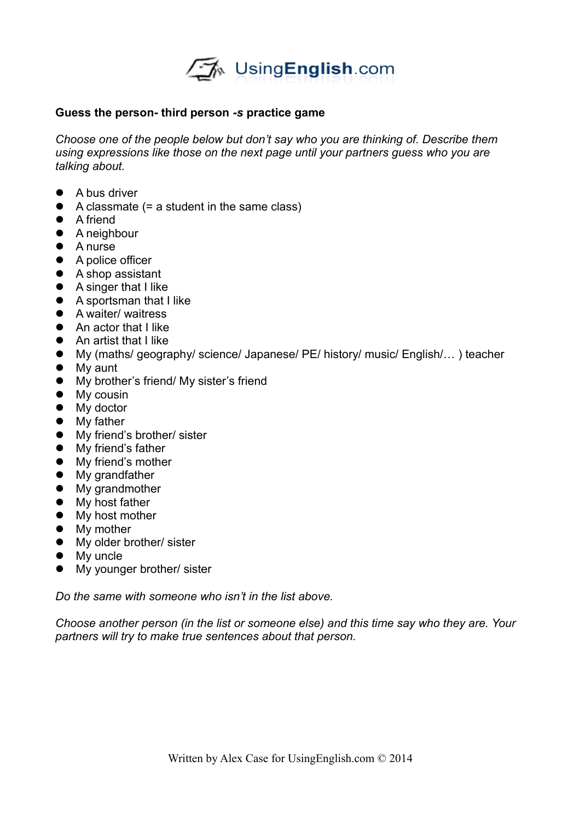

## **Guess the person- third person** *-s* **practice game**

*Choose one of the people below but don't say who you are thinking of. Describe them using expressions like those on the next page until your partners guess who you are talking about.*

- A bus driver
- A classmate (= a student in the same class)
- A friend
- A neighbour
- A nurse
- A police officer
- A shop assistant
- A singer that I like
- A sportsman that I like
- A waiter/ waitress
- An actor that I like
- **•** An artist that I like
- My (maths/ geography/ science/ Japanese/ PE/ history/ music/ English/… ) teacher
- My aunt
- My brother's friend/ My sister's friend
- My cousin
- My doctor
- My father
- **•** My friend's brother/ sister
- My friend's father
- My friend's mother
- My grandfather
- My grandmother
- My host father
- My host mother
- My mother
- My older brother/ sister
- My uncle
- My younger brother/ sister

*Do the same with someone who isn't in the list above.*

*Choose another person (in the list or someone else) and this time say who they are. Your partners will try to make true sentences about that person.*